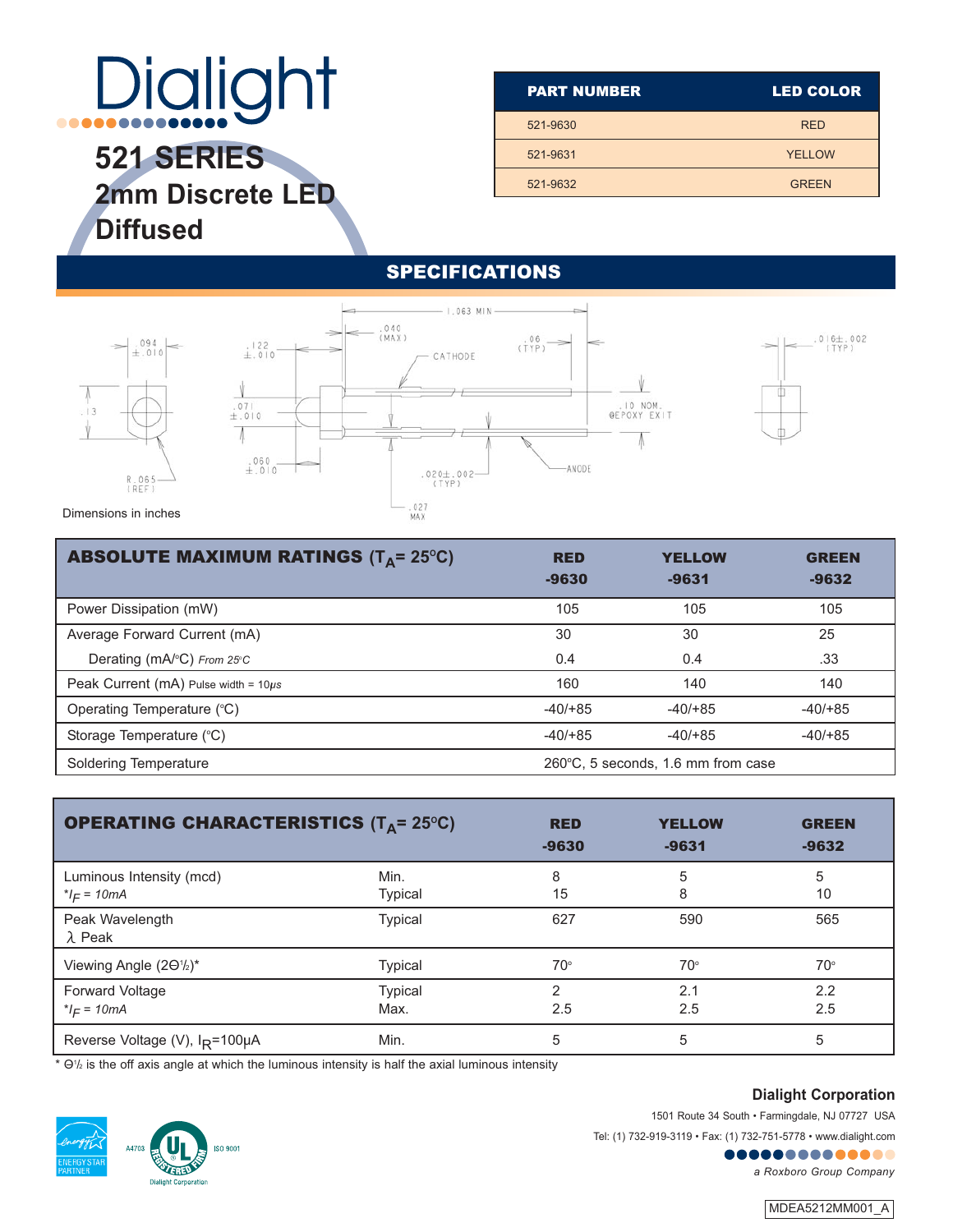# **Dialight** ....

**521 SERIES 2mm Discrete LED Diffused**

| <b>PART NUMBER</b> | <b>LED COLOR</b> |  |  |
|--------------------|------------------|--|--|
| 521-9630           | <b>RED</b>       |  |  |
| 521-9631           | <b>YELLOW</b>    |  |  |
| 521-9632           | <b>GREEN</b>     |  |  |
|                    |                  |  |  |

#### SPECIFICATIONS



| <b>ABSOLUTE MAXIMUM RATINGS (T<sub>A</sub>= 25°C)</b> | <b>RED</b><br>$-9630$                        | <b>YELLOW</b><br>$-9631$ | <b>GREEN</b><br>$-9632$ |
|-------------------------------------------------------|----------------------------------------------|--------------------------|-------------------------|
| Power Dissipation (mW)                                | 105                                          | 105                      | 105                     |
| Average Forward Current (mA)                          | 30                                           | 30                       | 25                      |
| Derating (mA/ $\degree$ C) From 25 $\degree$ C        | 0.4                                          | 0.4                      | .33                     |
| Peak Current (mA) Pulse width = $10\mu s$             | 160                                          | 140                      | 140                     |
| Operating Temperature (°C)                            | $-40/+85$                                    | $-40/+85$                | $-40/+85$               |
| Storage Temperature (°C)                              | $-40/+85$                                    | $-40/+85$                | $-40/+85$               |
| Soldering Temperature                                 | $260^{\circ}$ C, 5 seconds, 1.6 mm from case |                          |                         |

| <b>OPERATING CHARACTERISTICS (TA= 25°C)</b>      | <b>RED</b>     | <b>YELLOW</b> | <b>GREEN</b> |              |
|--------------------------------------------------|----------------|---------------|--------------|--------------|
|                                                  | $-9630$        | $-9631$       | $-9632$      |              |
| Luminous Intensity (mcd)                         | Min.           | 8             | 5            | 5            |
| $I_F = 10mA$                                     | Typical        | 15            | 8            | 10           |
| Peak Wavelength<br>$\lambda$ Peak                | Typical        | 627           | 590          | 565          |
| Viewing Angle (20 <sup>1</sup> / <sub>2</sub> )* | <b>Typical</b> | $70^\circ$    | $70^{\circ}$ | $70^{\circ}$ |
| Forward Voltage                                  | <b>Typical</b> | っ             | 2.1          | 2.2          |
| * $I_F = 10mA$                                   | Max.           | 2.5           | 2.5          | 2.5          |
| Reverse Voltage (V), I <sub>R</sub> =100µA       | Min.           | 5             | 5            | 5            |

 $*$  O1/ $_2$  is the off axis angle at which the luminous intensity is half the axial luminous intensity

**ISO 9001** 



**Dialight Corporation** 

1501 Route 34 South • Farmingdale, NJ 07727 USA

Tel: (1) 732-919-3119 • Fax: (1) 732-751-5778 • www.dialight.com

........... *a Roxboro Group Company*

MDEA5212MM001\_A